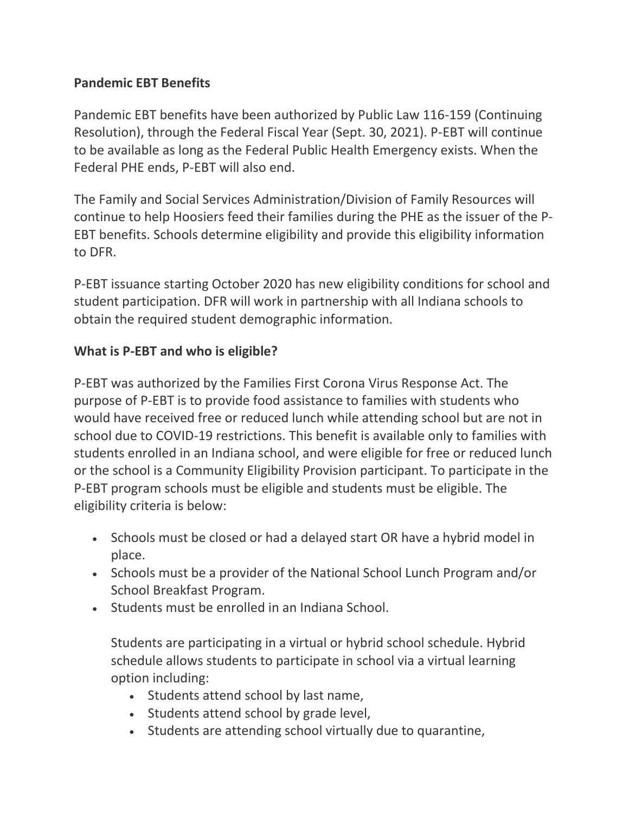# **Pandemic EBT Benefits**

Pandemic EBT benefits have been authorized by Public Law 116-159 (Continuing Resolution), through the Federal Fiscal Year (Sept. 30, 2021). P-EBT will continue to be available as long as the Federal Public Health Emergency exists. When the Federal PHE ends, P-EBT will also end.

The Family and Social Services Administration/Division of Family Resources will continue to help Hoosiers feed their families during the PHE as the issuer of the P-EBT benefits. Schools determine eligibility and provide this eligibility information to DFR.

P-EBT issuance starting October 2020 has new eligibility conditions for school and student participation. DFR will work in partnership with all Indiana schools to obtain the required student demographic information.

#### **What is P-EBT and who is eligible?**

P-EBT was authorized by the Families First Corona Virus Response Act. The purpose of P-EBT is to provide food assistance to families with students who would have received free or reduced lunch while attending school but are not in school due to COVID-19 restrictions. This benefit is available only to families with students enrolled in an Indiana school, and were eligible for free or reduced lunch or the school is a Community Eligibility Provision participant. To participate in the P-EBT program schools must be eligible and students must be eligible. The eligibility criteria is below:

- Schools must be closed or had a delayed start OR have a hybrid model in place.
- Schools must be a provider of the National School Lunch Program and/or School Breakfast Program.
- Students must be enrolled in an Indiana School.

Students are participating in a virtual or hybrid school schedule. Hybrid schedule allows students to participate in school via a virtual learning option including:

- Students attend school by last name,
- Students attend school by grade level,
- Students are attending school virtually due to quarantine,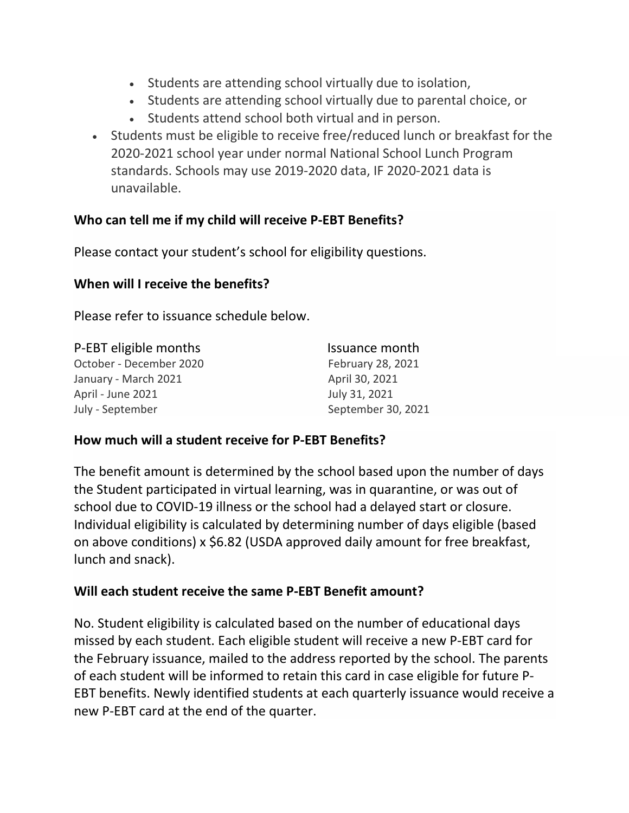- Students are attending school virtually due to isolation,
- Students are attending school virtually due to parental choice, or
- Students attend school both virtual and in person.
- Students must be eligible to receive free/reduced lunch or breakfast for the 2020-2021 school year under normal National School Lunch Program standards. Schools may use 2019-2020 data, IF 2020-2021 data is unavailable.

# **Who can tell me if my child will receive P-EBT Benefits?**

Please contact your student's school for eligibility questions.

# **When will I receive the benefits?**

Please refer to issuance schedule below.

| P-EBT eligible months   | Issuance month     |
|-------------------------|--------------------|
| October - December 2020 | February 28, 2021  |
| January - March 2021    | April 30, 2021     |
| April - June 2021       | July 31, 2021      |
| July - September        | September 30, 2021 |

# **How much will a student receive for P-EBT Benefits?**

The benefit amount is determined by the school based upon the number of days the Student participated in virtual learning, was in quarantine, or was out of school due to COVID-19 illness or the school had a delayed start or closure. Individual eligibility is calculated by determining number of days eligible (based on above conditions) x \$6.82 (USDA approved daily amount for free breakfast, lunch and snack).

# **Will each student receive the same P-EBT Benefit amount?**

No. Student eligibility is calculated based on the number of educational days missed by each student. Each eligible student will receive a new P-EBT card for the February issuance, mailed to the address reported by the school. The parents of each student will be informed to retain this card in case eligible for future P-EBT benefits. Newly identified students at each quarterly issuance would receive a new P-EBT card at the end of the quarter.